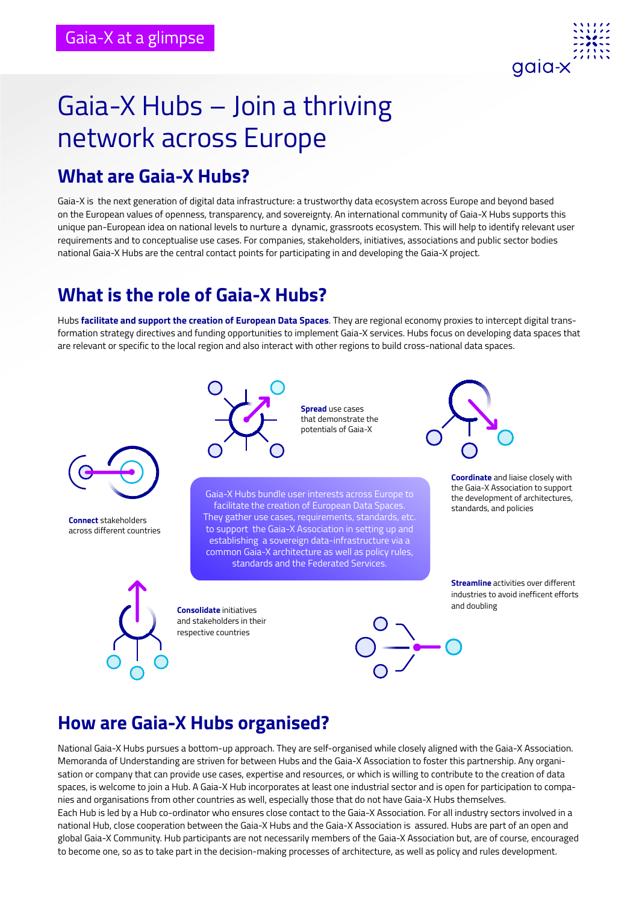

# Gaia-X Hubs – Join a thriving network across Europe

#### **What are Gaia-X Hubs?**

Gaia-X is the next generation of digital data infrastructure: a trustworthy data ecosystem across Europe and beyond based on the European values of openness, transparency, and sovereignty. An international community of Gaia-X Hubs supports this unique pan-European idea on national levels to nurture a dynamic, grassroots ecosystem. This will help to identify relevant user requirements and to conceptualise use cases. For companies, stakeholders, initiatives, associations and public sector bodies national Gaia-X Hubs are the central contact points for participating in and developing the Gaia-X project.

# **What is the role of Gaia-X Hubs?**

Hubs **facilitate and support the creation of European Data Spaces**. They are regional economy proxies to intercept digital transformation strategy directives and funding opportunities to implement Gaia-X services. Hubs focus on developing data spaces that are relevant or specific to the local region and also interact with other regions to build cross-national data spaces.



**Connect** stakeholders across different countries



**Spread** use cases that demonstrate the potentials of Gaia-X

Gaia-X Hubs bundle user interests across Europe to facilitate the creation of European Data Spaces. They gather use cases, requirements, standards, etc. to support the Gaia-X Association in setting up and establishing a sovereign data-infrastructure via a common Gaia-X architecture as well as policy rules, standards and the Federated Services.

**Consolidate** initiatives and stakeholders in their respective countries





the Gaia-X Association to support the development of architectures, standards, and policies

**Streamline** activities over different industries to avoid inefficent efforts and doubling

## **How are Gaia-X Hubs organised?**

National Gaia-X Hubs pursues a bottom-up approach. They are self-organised while closely aligned with the Gaia-X Association. Memoranda of Understanding are striven for between Hubs and the Gaia-X Association to foster this partnership. Any organisation or company that can provide use cases, expertise and resources, or which is willing to contribute to the creation of data spaces, is welcome to join a Hub. A Gaia-X Hub incorporates at least one industrial sector and is open for participation to companies and organisations from other countries as well, especially those that do not have Gaia-X Hubs themselves. Each Hub is led by a Hub co-ordinator who ensures close contact to the Gaia-X Association. For all industry sectors involved in a national Hub, close cooperation between the Gaia-X Hubs and the Gaia-X Association is assured. Hubs are part of an open and global Gaia-X Community. Hub participants are not necessarily members of the Gaia-X Association but, are of course, encouraged to become one, so as to take part in the decision-making processes of architecture, as well as policy and rules development.